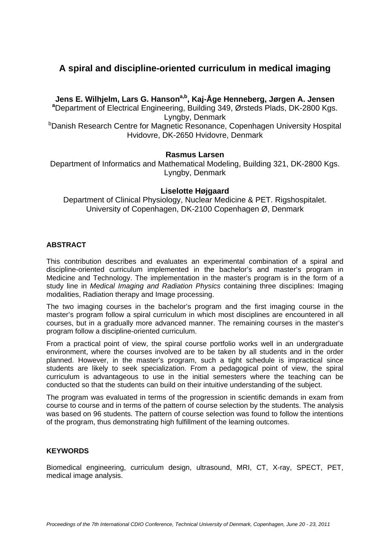# **A spiral and discipline-oriented curriculum in medical imaging**

Jens E. Wilhjelm, Lars G. Hanson<sup>a,b</sup>, Kaj-Åge Henneberg, Jørgen A. Jensen Department of Electrical Engineering, Building 349, Ørsteds Plads, DK-2800 Kgs. Lyngby, Denmark<br><sup>b</sup>Danish Research Centre for Magnetic Resonance, Copenhagen University Hospital Hvidovre, DK-2650 Hvidovre, Denmark

# **Rasmus Larsen**

Department of Informatics and Mathematical Modeling, Building 321, DK-2800 Kgs. Lyngby, Denmark

# **Liselotte Højgaard**

Department of Clinical Physiology, Nuclear Medicine & PET. Rigshospitalet. University of Copenhagen, DK-2100 Copenhagen Ø, Denmark

# **ABSTRACT**

This contribution describes and evaluates an experimental combination of a spiral and discipline-oriented curriculum implemented in the bachelor's and master's program in Medicine and Technology. The implementation in the master's program is in the form of a study line in *Medical Imaging and Radiation Physics* containing three disciplines: Imaging modalities, Radiation therapy and Image processing.

The two imaging courses in the bachelor's program and the first imaging course in the master's program follow a spiral curriculum in which most disciplines are encountered in all courses, but in a gradually more advanced manner. The remaining courses in the master's program follow a discipline-oriented curriculum.

From a practical point of view, the spiral course portfolio works well in an undergraduate environment, where the courses involved are to be taken by all students and in the order planned. However, in the master's program, such a tight schedule is impractical since students are likely to seek specialization. From a pedagogical point of view, the spiral curriculum is advantageous to use in the initial semesters where the teaching can be conducted so that the students can build on their intuitive understanding of the subject.

The program was evaluated in terms of the progression in scientific demands in exam from course to course and in terms of the pattern of course selection by the students. The analysis was based on 96 students. The pattern of course selection was found to follow the intentions of the program, thus demonstrating high fulfillment of the learning outcomes.

### **KEYWORDS**

Biomedical engineering, curriculum design, ultrasound, MRI, CT, X-ray, SPECT, PET, medical image analysis.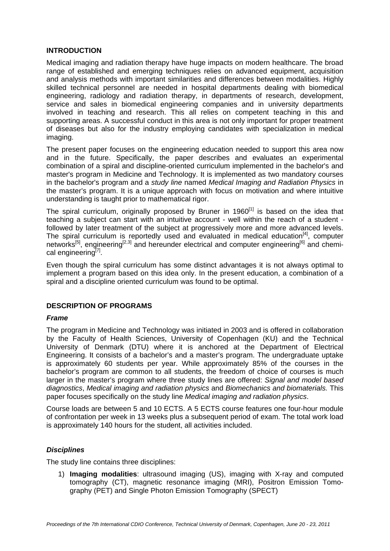### **INTRODUCTION**

Medical imaging and radiation therapy have huge impacts on modern healthcare. The broad range of established and emerging techniques relies on advanced equipment, acquisition and analysis methods with important similarities and differences between modalities. Highly skilled technical personnel are needed in hospital departments dealing with biomedical engineering, radiology and radiation therapy, in departments of research, development, service and sales in biomedical engineering companies and in university departments involved in teaching and research. This all relies on competent teaching in this and supporting areas. A successful conduct in this area is not only important for proper treatment of diseases but also for the industry employing candidates with specialization in medical imaging.

The present paper focuses on the engineering education needed to support this area now and in the future. Specifically, the paper describes and evaluates an experimental combination of a spiral and discipline-oriented curriculum implemented in the bachelor's and master's program in Medicine and Technology. It is implemented as two mandatory courses in the bachelor's program and a *study line* named *Medical Imaging and Radiation Physics* in the master's program. It is a unique approach with focus on motivation and where intuitive understanding is taught prior to mathematical rigor.

The spiral curriculum, originally proposed by Bruner in  $1960^{[1]}$  is based on the idea that teaching a subject can start with an intuitive account - well within the reach of a student followed by later treatment of the subject at progressively more and more advanced levels. The spiral curriculum is reportedly used and evaluated in medical education $^{[4]}$ , computer networks<sup>[5]</sup>, engineering<sup>[2,3]</sup> and hereunder electrical and computer engineering<sup>[6]</sup> and chemical engineering<sup>[7]</sup>.

Even though the spiral curriculum has some distinct advantages it is not always optimal to implement a program based on this idea only. In the present education, a combination of a spiral and a discipline oriented curriculum was found to be optimal.

# **DESCRIPTION OF PROGRAMS**

### *Frame*

The program in Medicine and Technology was initiated in 2003 and is offered in collaboration by the Faculty of Health Sciences, University of Copenhagen (KU) and the Technical University of Denmark (DTU) where it is anchored at the Department of Electrical Engineering. It consists of a bachelor's and a master's program. The undergraduate uptake is approximately 60 students per year. While approximately 85% of the courses in the bachelor's program are common to all students, the freedom of choice of courses is much larger in the master's program where three study lines are offered: *Signal and model based diagnostics*, *Medical imaging and radiation physics* and *Biomechanics and biomaterials.* This paper focuses specifically on the study line *Medical imaging and radiation physics*.

Course loads are between 5 and 10 ECTS. A 5 ECTS course features one four-hour module of confrontation per week in 13 weeks plus a subsequent period of exam. The total work load is approximately 140 hours for the student, all activities included.

# *Disciplines*

The study line contains three disciplines:

1) **Imaging modalities**: ultrasound imaging (US), imaging with X-ray and computed tomography (CT), magnetic resonance imaging (MRI), Positron Emission Tomography (PET) and Single Photon Emission Tomography (SPECT)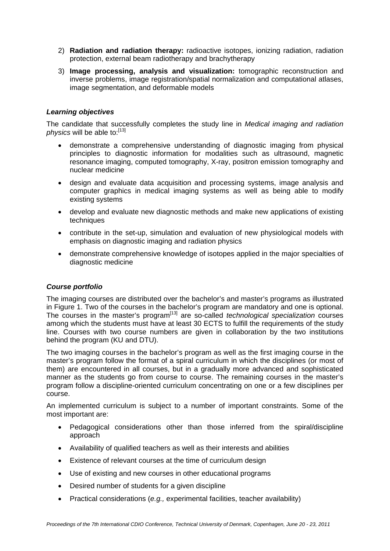- 2) **Radiation and radiation therapy:** radioactive isotopes, ionizing radiation, radiation protection, external beam radiotherapy and brachytherapy
- 3) **Image processing, analysis and visualization:** tomographic reconstruction and inverse problems, image registration/spatial normalization and computational atlases, image segmentation, and deformable models

# *Learning objectives*

The candidate that successfully completes the study line in *Medical imaging and radiation physics* will be able to:[13]

- demonstrate a comprehensive understanding of diagnostic imaging from physical principles to diagnostic information for modalities such as ultrasound, magnetic resonance imaging, computed tomography, X-ray, positron emission tomography and nuclear medicine
- design and evaluate data acquisition and processing systems, image analysis and computer graphics in medical imaging systems as well as being able to modify existing systems
- develop and evaluate new diagnostic methods and make new applications of existing techniques
- contribute in the set-up, simulation and evaluation of new physiological models with emphasis on diagnostic imaging and radiation physics
- demonstrate comprehensive knowledge of isotopes applied in the major specialties of diagnostic medicine

# *Course portfolio*

The imaging courses are distributed over the bachelor's and master's programs as illustrated in Figure 1. Two of the courses in the bachelor's program are mandatory and one is optional. The courses in the master's program[13] are so-called *technological specialization* courses among which the students must have at least 30 ECTS to fulfill the requirements of the study line. Courses with two course numbers are given in collaboration by the two institutions behind the program (KU and DTU).

The two imaging courses in the bachelor's program as well as the first imaging course in the master's program follow the format of a spiral curriculum in which the disciplines (or most of them) are encountered in all courses, but in a gradually more advanced and sophisticated manner as the students go from course to course. The remaining courses in the master's program follow a discipline-oriented curriculum concentrating on one or a few disciplines per course.

An implemented curriculum is subject to a number of important constraints. Some of the most important are:

- Pedagogical considerations other than those inferred from the spiral/discipline approach
- Availability of qualified teachers as well as their interests and abilities
- Existence of relevant courses at the time of curriculum design
- Use of existing and new courses in other educational programs
- Desired number of students for a given discipline
- Practical considerations (*e.g.,* experimental facilities, teacher availability)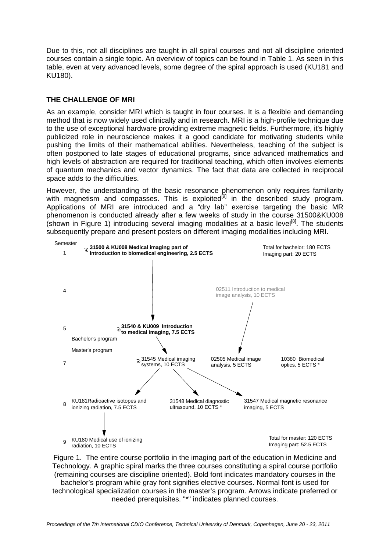Due to this, not all disciplines are taught in all spiral courses and not all discipline oriented courses contain a single topic. An overview of topics can be found in Table 1. As seen in this table, even at very advanced levels, some degree of the spiral approach is used (KU181 and KU180).

# **THE CHALLENGE OF MRI**

As an example, consider MRI which is taught in four courses. It is a flexible and demanding method that is now widely used clinically and in research. MRI is a high-profile technique due to the use of exceptional hardware providing extreme magnetic fields. Furthermore, it's highly publicized role in neuroscience makes it a good candidate for motivating students while pushing the limits of their mathematical abilities. Nevertheless, teaching of the subject is often postponed to late stages of educational programs, since advanced mathematics and high levels of abstraction are required for traditional teaching, which often involves elements of quantum mechanics and vector dynamics. The fact that data are collected in reciprocal space adds to the difficulties.

However, the understanding of the basic resonance phenomenon only requires familiarity with magnetism and compasses. This is exploited<sup>[9]</sup> in the described study program. Applications of MRI are introduced and a "dry lab" exercise targeting the basic MR phenomenon is conducted already after a few weeks of study in the course 31500&KU008 (shown in Figure 1) introducing several imaging modalities at a basic level<sup>[8]</sup>. The students subsequently prepare and present posters on different imaging modalities including MRI.



Figure 1. The entire course portfolio in the imaging part of the education in Medicine and Technology. A graphic spiral marks the three courses constituting a spiral course portfolio (remaining courses are discipline oriented). Bold font indicates mandatory courses in the bachelor's program while gray font signifies elective courses. Normal font is used for technological specialization courses in the master's program. Arrows indicate preferred or needed prerequisites. "\*" indicates planned courses.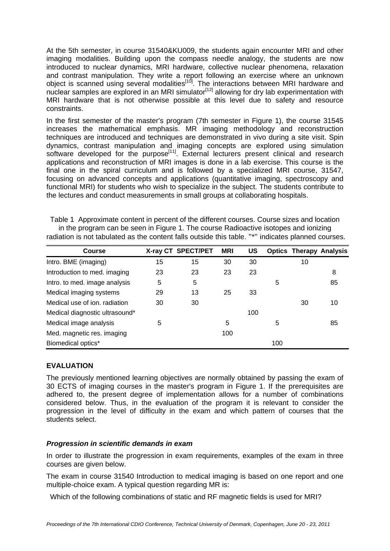At the 5th semester, in course 31540&KU009, the students again encounter MRI and other imaging modalities. Building upon the compass needle analogy, the students are now introduced to nuclear dynamics, MRI hardware, collective nuclear phenomena, relaxation and contrast manipulation. They write a report following an exercise where an unknown object is scanned using several modalities<sup>[10]</sup>. The interactions between MRI hardware and nuclear samples are explored in an MRI simulator<sup>[12]</sup> allowing for dry lab experimentation with MRI hardware that is not otherwise possible at this level due to safety and resource constraints.

In the first semester of the master's program (7th semester in Figure 1), the course 31545 increases the mathematical emphasis. MR imaging methodology and reconstruction techniques are introduced and techniques are demonstrated in vivo during a site visit. Spin dynamics, contrast manipulation and imaging concepts are explored using simulation software developed for the purpose<sup>[11]</sup>. External lecturers present clinical and research applications and reconstruction of MRI images is done in a lab exercise. This course is the final one in the spiral curriculum and is followed by a specialized MRI course, 31547, focusing on advanced concepts and applications (quantitative imaging, spectroscopy and functional MRI) for students who wish to specialize in the subject. The students contribute to the lectures and conduct measurements in small groups at collaborating hospitals.

| radiation is not tabulated as the content falls outside this table. "*" indicates planned courses. |    |                    |            |     |   |    |                                |
|----------------------------------------------------------------------------------------------------|----|--------------------|------------|-----|---|----|--------------------------------|
| <b>Course</b>                                                                                      |    | X-ray CT SPECT/PET | <b>MRI</b> | US  |   |    | <b>Optics Therapy Analysis</b> |
| Intro. BME (imaging)                                                                               | 15 | 15                 | 30         | 30  |   | 10 |                                |
| Introduction to med. imaging                                                                       | 23 | 23                 | 23         | 23  |   |    | 8                              |
| Intro. to med. image analysis                                                                      | 5  | 5                  |            |     | 5 |    | 85                             |
| Medical imaging systems                                                                            | 29 | 13                 | 25         | 33  |   |    |                                |
| Medical use of ion. radiation                                                                      | 30 | 30                 |            |     |   | 30 | 10                             |
| Medical diagnostic ultrasound*                                                                     |    |                    |            | 100 |   |    |                                |

Medical image analysis  $5 \qquad 5 \qquad 5 \qquad 5 \qquad 65$ 

Table 1 Approximate content in percent of the different courses. Course sizes and location in the program can be seen in Figure 1. The course Radioactive isotopes and ionizing

# **EVALUATION**

The previously mentioned learning objectives are normally obtained by passing the exam of 30 ECTS of imaging courses in the master's program in Figure 1. If the prerequisites are adhered to, the present degree of implementation allows for a number of combinations considered below. Thus, in the evaluation of the program it is relevant to consider the progression in the level of difficulty in the exam and which pattern of courses that the students select.

### *Progression in scientific demands in exam*

Med. magnetic res. imaging 100

Biomedical optics\* 100

In order to illustrate the progression in exam requirements, examples of the exam in three courses are given below.

The exam in course 31540 Introduction to medical imaging is based on one report and one multiple-choice exam. A typical question regarding MR is:

Which of the following combinations of static and RF magnetic fields is used for MRI?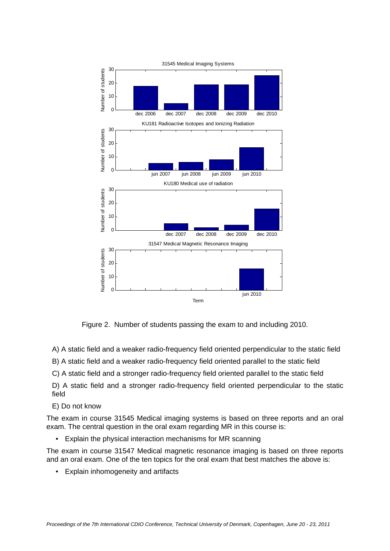

Figure 2. Number of students passing the exam to and including 2010.

A) A static field and a weaker radio-frequency field oriented perpendicular to the static field

B) A static field and a weaker radio-frequency field oriented parallel to the static field

C) A static field and a stronger radio-frequency field oriented parallel to the static field

D) A static field and a stronger radio-frequency field oriented perpendicular to the static field

### E) Do not know

The exam in course 31545 Medical imaging systems is based on three reports and an oral exam. The central question in the oral exam regarding MR in this course is:

• Explain the physical interaction mechanisms for MR scanning

The exam in course 31547 Medical magnetic resonance imaging is based on three reports and an oral exam. One of the ten topics for the oral exam that best matches the above is:

• Explain inhomogeneity and artifacts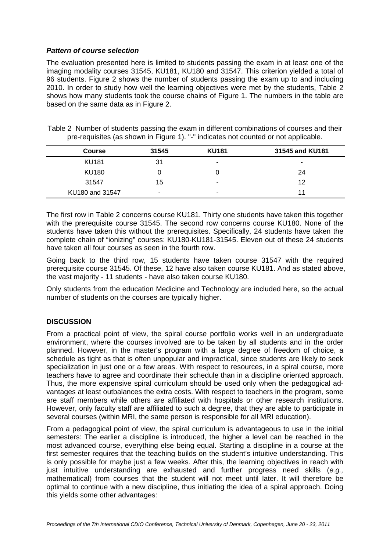# *Pattern of course selection*

The evaluation presented here is limited to students passing the exam in at least one of the imaging modality courses 31545, KU181, KU180 and 31547. This criterion yielded a total of 96 students. Figure 2 shows the number of students passing the exam up to and including 2010. In order to study how well the learning objectives were met by the students, Table 2 shows how many students took the course chains of Figure 1. The numbers in the table are based on the same data as in Figure 2.

|  |  |  | Table 2 Number of students passing the exam in different combinations of courses and their |  |
|--|--|--|--------------------------------------------------------------------------------------------|--|
|  |  |  | pre-requisites (as shown in Figure 1). "-" indicates not counted or not applicable.        |  |

| <b>Course</b>   | 31545 | <b>KU181</b> | 31545 and KU181 |
|-----------------|-------|--------------|-----------------|
| <b>KU181</b>    | 31    | ۰            |                 |
| <b>KU180</b>    |       |              | 24              |
| 31547           | 15    |              | 12              |
| KU180 and 31547 | ۰     |              | 11              |

The first row in Table 2 concerns course KU181. Thirty one students have taken this together with the prerequisite course 31545. The second row concerns course KU180. None of the students have taken this without the prerequisites. Specifically, 24 students have taken the complete chain of "ionizing" courses: KU180-KU181-31545. Eleven out of these 24 students have taken all four courses as seen in the fourth row.

Going back to the third row, 15 students have taken course 31547 with the required prerequisite course 31545. Of these, 12 have also taken course KU181. And as stated above, the vast majority - 11 students - have also taken course KU180.

Only students from the education Medicine and Technology are included here, so the actual number of students on the courses are typically higher.

# **DISCUSSION**

From a practical point of view, the spiral course portfolio works well in an undergraduate environment, where the courses involved are to be taken by all students and in the order planned. However, in the master's program with a large degree of freedom of choice, a schedule as tight as that is often unpopular and impractical, since students are likely to seek specialization in just one or a few areas. With respect to resources, in a spiral course, more teachers have to agree and coordinate their schedule than in a discipline oriented approach. Thus, the more expensive spiral curriculum should be used only when the pedagogical advantages at least outbalances the extra costs. With respect to teachers in the program, some are staff members while others are affiliated with hospitals or other research institutions. However, only faculty staff are affiliated to such a degree, that they are able to participate in several courses (within MRI, the same person is responsible for all MRI education).

From a pedagogical point of view, the spiral curriculum is advantageous to use in the initial semesters: The earlier a discipline is introduced, the higher a level can be reached in the most advanced course, everything else being equal. Starting a discipline in a course at the first semester requires that the teaching builds on the student's intuitive understanding. This is only possible for maybe just a few weeks. After this, the learning objectives in reach with just intuitive understanding are exhausted and further progress need skills (*e.g.,* mathematical) from courses that the student will not meet until later. It will therefore be optimal to continue with a new discipline, thus initiating the idea of a spiral approach. Doing this yields some other advantages: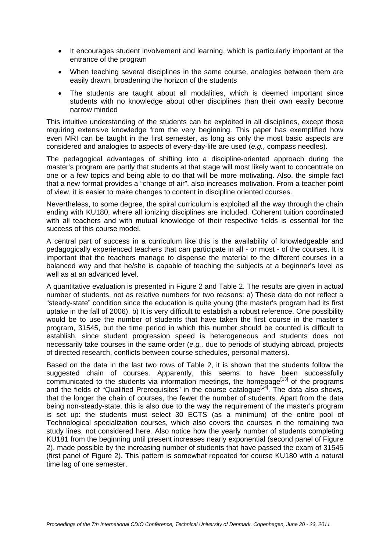- It encourages student involvement and learning, which is particularly important at the entrance of the program
- When teaching several disciplines in the same course, analogies between them are easily drawn, broadening the horizon of the students
- The students are taught about all modalities, which is deemed important since students with no knowledge about other disciplines than their own easily become narrow minded

This intuitive understanding of the students can be exploited in all disciplines, except those requiring extensive knowledge from the very beginning. This paper has exemplified how even MRI can be taught in the first semester, as long as only the most basic aspects are considered and analogies to aspects of every-day-life are used (*e.g.,* compass needles).

The pedagogical advantages of shifting into a discipline-oriented approach during the master's program are partly that students at that stage will most likely want to concentrate on one or a few topics and being able to do that will be more motivating. Also, the simple fact that a new format provides a "change of air", also increases motivation. From a teacher point of view, it is easier to make changes to content in discipline oriented courses.

Nevertheless, to some degree, the spiral curriculum is exploited all the way through the chain ending with KU180, where all ionizing disciplines are included. Coherent tuition coordinated with all teachers and with mutual knowledge of their respective fields is essential for the success of this course model.

A central part of success in a curriculum like this is the availability of knowledgeable and pedagogically experienced teachers that can participate in all - or most - of the courses. It is important that the teachers manage to dispense the material to the different courses in a balanced way and that he/she is capable of teaching the subjects at a beginner's level as well as at an advanced level.

A quantitative evaluation is presented in Figure 2 and Table 2. The results are given in actual number of students, not as relative numbers for two reasons: a) These data do not reflect a "steady-state" condition since the education is quite young (the master's program had its first uptake in the fall of 2006). b) It is very difficult to establish a robust reference. One possibility would be to use the number of students that have taken the first course in the master's program, 31545, but the time period in which this number should be counted is difficult to establish, since student progression speed is heterogeneous and students does not necessarily take courses in the same order (*e.g.,* due to periods of studying abroad, projects of directed research, conflicts between course schedules, personal matters).

Based on the data in the last two rows of Table 2, it is shown that the students follow the suggested chain of courses. Apparently, this seems to have been successfully communicated to the students via information meetings, the homepage $[13]$  of the programs and the fields of "Qualified Prerequisites" in the course catalogue<sup>[14]</sup>. The data also shows, that the longer the chain of courses, the fewer the number of students. Apart from the data being non-steady-state, this is also due to the way the requirement of the master's program is set up: the students must select 30 ECTS (as a minimum) of the entire pool of Technological specialization courses, which also covers the courses in the remaining two study lines, not considered here. Also notice how the yearly number of students completing KU181 from the beginning until present increases nearly exponential (second panel of Figure 2), made possible by the increasing number of students that have passed the exam of 31545 (first panel of Figure 2). This pattern is somewhat repeated for course KU180 with a natural time lag of one semester.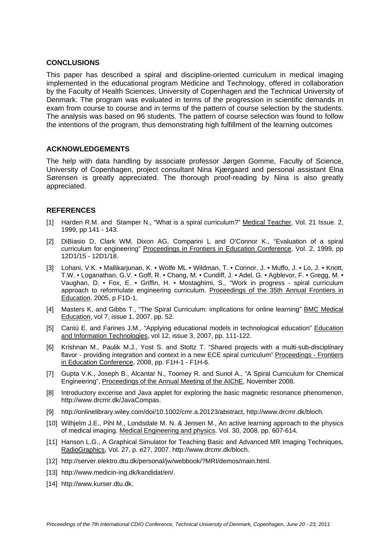### **CONCLUSIONS**

This paper has described a spiral and discipline-oriented curriculum in medical imaging implemented in the educational program Medicine and Technology, offered in collaboration by the Faculty of Health Sciences, University of Copenhagen and the Technical University of Denmark. The program was evaluated in terms of the progression in scientific demands in exam from course to course and in terms of the pattern of course selection by the students. The analysis was based on 96 students. The pattern of course selection was found to follow the intentions of the program, thus demonstrating high fulfillment of the learning outcomes

### **ACKNOWLEDGEMENTS**

The help with data handling by associate professor Jørgen Gomme, Faculty of Science, University of Copenhagen, project consultant Nina Kjærgaard and personal assistant Elna Sørensen is greatly appreciated. The thorough proof-reading by Nina is also greatly appreciated.

# **REFERENCES**

- [1] Harden R.M. and Stamper N., "What is a spiral curriculum?" Medical Teacher, Vol. 21 Issue. 2, 1999, pp 141 - 143.
- [2] DiBiasio D, Clark WM, Dixon AG, Comparini L and O'Connor K., "Evaluation of a spiral curriculum for engineering" Proceedings in Frontiers in Education Conference, Vol. 2, 1999, pp 12D1/15 - 12D1/18.
- [3] Lohani, V.K. Mallikarjunan, K. Wolfe ML Wildman, T. Connor, J. Muffo, J. Lo, J. Knott, T.W. • Loganathan, G.V. • Goff, R. • Chang, M. • Cundiff, J. • Adel, G. • Agblevor, F. • Gregg, M. • Vaughan, D. • Fox, E. • Griffin, H. • Mostaghimi, S., "Work in progress - spiral curriculum approach to reformulate engineering curriculum. Proceedings of the 35th Annual Frontiers in Education. 2005, p F1D-1.
- [4] Masters K. and Gibbs T., "The Spiral Curriculum: implications for online learning" BMC Medical Education, vol 7, issue 1, 2007. pp. 52.
- [5] Cantú E. and Farines J.M., "Applying educational models in technological education" Education and Information Technologies, vol 12, issue 3, 2007, pp. 111-122.
- [6] Krishnan M., Paulik M.J., Yost S. and Stoltz T. "Shared projects with a multi-sub-disciplinary flavor - providing integration and context in a new ECE spiral curriculum" Proceedings - Frontiers in Education Conference, 2008, pp. F1H-1 - F1H-6.
- [7] Gupta V.K., Joseph B., Alcantar N., Toomey R. and Sunol A., "A Spiral Curriculum for Chemical Engineering", Proceedings of the Annual Meeting of the AIChE, November 2008.
- [8] Introductory excerise and Java applet for exploring the basic magnetic resonance phenomenon, http://www.drcmr.dk/JavaCompas.
- [9] http://onlinelibrary.wiley.com/doi/10.1002/cmr.a.20123/abstract, http://www.drcmr.dk/bloch.
- [10] Wilhjelm J.E., Pihl M., Londsdale M. N. & Jensen M., An active learning approach to the physics of medical imaging. Medical Engineering and physics. Vol. 30, 2008. pp. 607-614.
- [11] Hanson L.G., A Graphical Simulator for Teaching Basic and Advanced MR Imaging Techniques, RadioGraphics, Vol. 27, p. e27, 2007. http://www.drcmr.dk/bloch.
- [12] http://server.elektro.dtu.dk/personal/jw/webbook/?MRI/demos/main.html.
- [13] http://www.medicin-ing.dk/kandidat/en/.
- [14] http://www.kurser.dtu.dk.